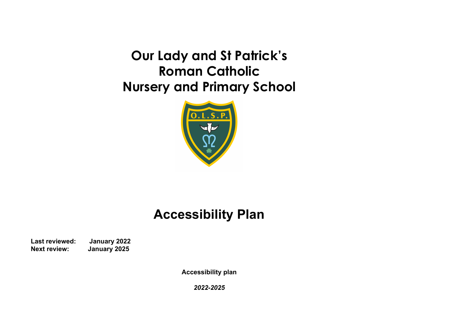**Our Lady and St Patrick's Roman Catholic Nursery and Primary School**



## **Accessibility Plan**

**Last reviewed: January 2022 Next review: January 2025**

**Accessibility plan**

*2022-2025*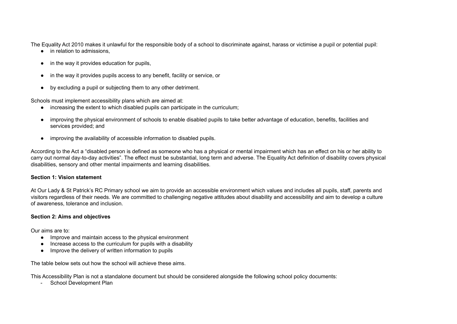The Equality Act 2010 makes it unlawful for the responsible body of a school to discriminate against, harass or victimise a pupil or potential pupil:

- in relation to admissions.
- in the way it provides education for pupils,
- in the way it provides pupils access to any benefit, facility or service, or
- by excluding a pupil or subjecting them to any other detriment.

Schools must implement accessibility plans which are aimed at:

- increasing the extent to which disabled pupils can participate in the curriculum;
- improving the physical environment of schools to enable disabled pupils to take better advantage of education, benefits, facilities and services provided; and
- improving the availability of accessible information to disabled pupils.

According to the Act a "disabled person is defined as someone who has a physical or mental impairment which has an effect on his or her ability to carry out normal day-to-day activities". The effect must be substantial, long term and adverse. The Equality Act definition of disability covers physical disabilities, sensory and other mental impairments and learning disabilities.

## **Section 1: Vision statement**

At Our Lady & St Patrick's RC Primary school we aim to provide an accessible environment which values and includes all pupils, staff, parents and visitors regardless of their needs. We are committed to challenging negative attitudes about disability and accessibility and aim to develop a culture of awareness, tolerance and inclusion.

## **Section 2: Aims and objectives**

Our aims are to:

- Improve and maintain access to the physical environment
- Increase access to the curriculum for pupils with a disability
- Improve the delivery of written information to pupils

The table below sets out how the school will achieve these aims.

This Accessibility Plan is not a standalone document but should be considered alongside the following school policy documents:

- School Development Plan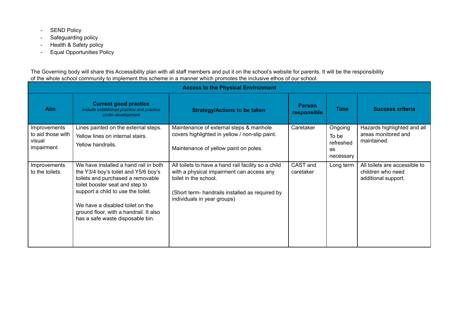- SEND Policy
- Safeguarding policy
- Health & Safety policy
- Equal Opportunities Policy

The Governing body will share this Accessibility plan with all staff members and put it on the school's website for parents. It will be the responsibility of the whole school community to implement this scheme in a manner which promotes the inclusive ethos of our school.

| <b>Access to the Physical Environment</b>                 |                                                                                                                                                                                                                                                                                                               |                                                                                                                                                                                                             |                              |                                                  |                                                                           |  |
|-----------------------------------------------------------|---------------------------------------------------------------------------------------------------------------------------------------------------------------------------------------------------------------------------------------------------------------------------------------------------------------|-------------------------------------------------------------------------------------------------------------------------------------------------------------------------------------------------------------|------------------------------|--------------------------------------------------|---------------------------------------------------------------------------|--|
| <b>Aim</b>                                                | <b>Current good practice</b><br>Include established practice and practice<br>under development                                                                                                                                                                                                                | <b>Strategy/Actions to be taken</b>                                                                                                                                                                         | <b>Person</b><br>responsible | <b>Time</b>                                      | <b>Success criteria</b>                                                   |  |
| Improvements<br>to aid those with<br>visual<br>impairment | Lines painted on the external steps.<br>Yellow lines on internal stairs.<br>Yellow handrails.                                                                                                                                                                                                                 | Maintenance of external steps & manhole<br>covers highlighted in yellow / non-slip paint.<br>Maintenance of yellow paint on poles.                                                                          | Caretaker                    | Ongoing<br>To be<br>refreshed<br>as<br>necessary | Hazards highlighted and all<br>areas monitored and<br>maintained.         |  |
| Improvements<br>to the toilets.                           | We have installed a hand rail in both<br>the Y3/4 boy's toilet and Y5/6 boy's<br>toilets and purchased a removable<br>toilet booster seat and step to<br>support a child to use the toilet.<br>We have a disabled toilet on the<br>ground floor, with a handrail. It also<br>has a safe waste disposable bin. | All toilets to have a hand rail facility so a child<br>with a physical impairment can access any<br>toilet in the school.<br>(Short term- handrails installed as required by<br>individuals in year groups) | CAST and<br>caretaker        | Long term                                        | All toilets are accessible to<br>children who need<br>additional support. |  |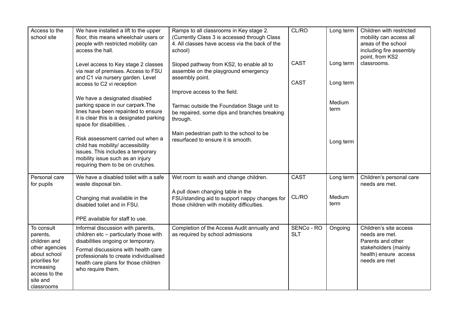| Access to the<br>school site                                                                                                                        | We have installed a lift to the upper<br>floor, this means wheelchair users or<br>people with restricted mobility can<br>access the hall.                                                                                                                       | Ramps to all classrooms in Key stage 2.<br>(Currently Class 3 is accessed through Class<br>4. All classes have access via the back of the<br>school) | CL/RO                      | Long term              | Children with restricted<br>mobility can access all<br>areas of the school<br>including fire assembly<br>point, from KS2        |
|-----------------------------------------------------------------------------------------------------------------------------------------------------|-----------------------------------------------------------------------------------------------------------------------------------------------------------------------------------------------------------------------------------------------------------------|------------------------------------------------------------------------------------------------------------------------------------------------------|----------------------------|------------------------|---------------------------------------------------------------------------------------------------------------------------------|
|                                                                                                                                                     | Level access to Key stage 2 classes<br>via rear of premises. Access to FSU<br>and C1 via nursery garden. Level<br>access to C2 vi reception                                                                                                                     | Sloped pathway from KS2, to enable all to<br>assemble on the playground emergency<br>assembly point.                                                 | <b>CAST</b><br><b>CAST</b> | Long term<br>Long term | classrooms.                                                                                                                     |
|                                                                                                                                                     | We have a designated disabled                                                                                                                                                                                                                                   | Improve access to the field.                                                                                                                         |                            | Medium                 |                                                                                                                                 |
|                                                                                                                                                     | parking space in our carpark. The<br>lines have been repainted to ensure<br>it is clear this is a designated parking<br>space for disabilities. .                                                                                                               | Tarmac outside the Foundation Stage unit to<br>be repaired, some dips and branches breaking<br>through.                                              |                            | term                   |                                                                                                                                 |
|                                                                                                                                                     | Risk assessment carried out when a<br>child has mobility/ accessibility<br>issues. This includes a temporary<br>mobility issue such as an injury<br>requiring them to be on crutches.                                                                           | Main pedestrian path to the school to be<br>resurfaced to ensure it is smooth.                                                                       |                            | Long term              |                                                                                                                                 |
| Personal care<br>for pupils                                                                                                                         | We have a disabled toilet with a safe<br>waste disposal bin.                                                                                                                                                                                                    | Wet room to wash and change children.                                                                                                                | <b>CAST</b>                | Long term              | Children's personal care<br>needs are met.                                                                                      |
|                                                                                                                                                     | Changing mat available in the<br>disabled toilet and in FSU.                                                                                                                                                                                                    | A pull down changing table in the<br>FSU/standing aid to support nappy changes for<br>those children with mobility difficulties.                     | CL/RO                      | Medium<br>term         |                                                                                                                                 |
|                                                                                                                                                     | PPE available for staff to use.                                                                                                                                                                                                                                 |                                                                                                                                                      |                            |                        |                                                                                                                                 |
| To consult<br>parents,<br>children and<br>other agencies<br>about school<br>priorities for<br>increasing<br>access to the<br>site and<br>classrooms | Informal discussion with parents,<br>children etc - particularly those with<br>disabilities ongoing or temporary.<br>Formal discussions with health care<br>professionals to create individualised<br>health care plans for those children<br>who require them. | Completion of the Access Audit annually and<br>as required by school admissions                                                                      | SENCo - RO<br><b>SLT</b>   | Ongoing                | Children's site access<br>needs are met.<br>Parents and other<br>stakeholders (mainly<br>health) ensure access<br>needs are met |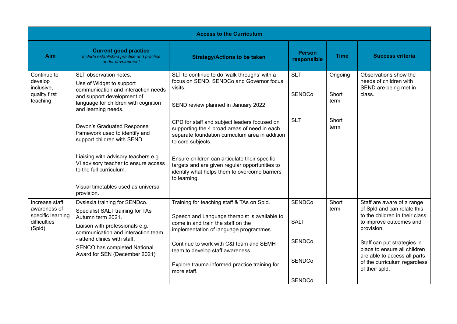| <b>Current good practice</b><br>Include established practice and practice<br>under development                                                                  | <b>Strategy/Actions to be taken</b>                                                                                                                                         | <b>Person</b><br>responsible   | <b>Time</b>              | <b>Success criteria</b>                                                                                                                       |                                                                                                                        |
|-----------------------------------------------------------------------------------------------------------------------------------------------------------------|-----------------------------------------------------------------------------------------------------------------------------------------------------------------------------|--------------------------------|--------------------------|-----------------------------------------------------------------------------------------------------------------------------------------------|------------------------------------------------------------------------------------------------------------------------|
| SLT observation notes.<br>Use of Widget to support<br>communication and interaction needs<br>and support development of<br>language for children with cognition | SLT to continue to do 'walk throughs' with a<br>focus on SEND, SENDCo and Governor focus<br>visits.<br>SEND review planned in January 2022.                                 | <b>SLT</b><br><b>SENDCo</b>    | Ongoing<br>Short<br>term | Observations show the<br>needs of children with<br>SEND are being met in<br>class.                                                            |                                                                                                                        |
| Devon's Graduated Response<br>framework used to identify and<br>support children with SEND.                                                                     | CPD for staff and subject leaders focused on<br>supporting the 4 broad areas of need in each<br>separate foundation curriculum area in addition<br>to core subjects.        | <b>SLT</b>                     | Short<br>term            |                                                                                                                                               |                                                                                                                        |
| Liaising with advisory teachers e.g.<br>VI advisory teacher to ensure access<br>to the full curriculum.                                                         | Ensure children can articulate their specific<br>targets and are given regular opportunities to<br>identify what helps them to overcome barriers<br>to learning.            |                                |                          |                                                                                                                                               |                                                                                                                        |
| provision.                                                                                                                                                      |                                                                                                                                                                             |                                |                          |                                                                                                                                               |                                                                                                                        |
| Dyslexia training for SENDco.<br>Specialist SALT training for TAs<br>Autumn term 2021.<br>Liaison with professionals e.g.<br>communication and interaction team | Training for teaching staff & TAs on Spld.<br>Speech and Language therapist is available to<br>come in and train the staff on the<br>implementation of language programmes. | <b>SENDCo</b><br><b>SALT</b>   | Short<br>term            | provision.                                                                                                                                    | Staff are aware of a range<br>of Spld and can relate this<br>to the children in their class<br>to improve outcomes and |
| - attend clinics with staff.<br>SENCO has completed National<br>Award for SEN (December 2021)                                                                   | Continue to work with C&I team and SEMH<br>team to develop staff awareness.<br>Explore trauma informed practice training for<br>more staff.                                 | <b>SENDCo</b><br><b>SENDCo</b> |                          | Staff can put strategies in<br>place to ensure all children<br>are able to access all parts<br>of the curriculum regardless<br>of their spld. |                                                                                                                        |
|                                                                                                                                                                 | and learning needs.<br>Visual timetables used as universal                                                                                                                  |                                | <b>SENDCo</b>            |                                                                                                                                               |                                                                                                                        |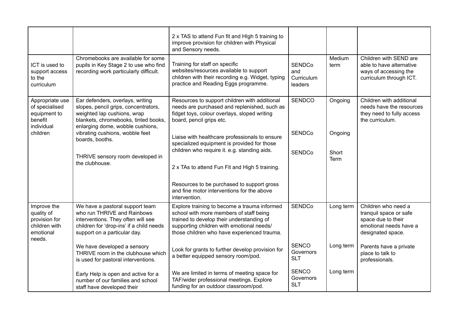|                                                                                                    |                                                                                                                                                                                     | 2 x TAS to attend Fun fit and HIgh 5 training to<br>improve provision for children with Physical<br>and Sensory needs.                                                                                                           |                                               |                |                                                                                                                    |
|----------------------------------------------------------------------------------------------------|-------------------------------------------------------------------------------------------------------------------------------------------------------------------------------------|----------------------------------------------------------------------------------------------------------------------------------------------------------------------------------------------------------------------------------|-----------------------------------------------|----------------|--------------------------------------------------------------------------------------------------------------------|
| ICT is used to<br>support access<br>to the<br>curriculum                                           | Chromebooks are available for some<br>pupils in Key Stage 2 to use who find<br>recording work particularly difficult.                                                               | Training for staff on specific<br>websites/resources available to support<br>children with their recording e.g. Widget, typing<br>practice and Reading Eggs programme.                                                           | <b>SENDCo</b><br>and<br>Curriculum<br>leaders | Medium<br>term | Children with SEND are<br>able to have alternative<br>ways of accessing the<br>curriculum through ICT.             |
| Appropriate use<br>of specialised<br>equipment to<br>benefit<br>individual                         | Ear defenders, overlays, writing<br>slopes, pencil grips, concentrators,<br>weighted lap cushions, wrap<br>blankets, chromebooks, tinted books,<br>enlarging dome, wobble cushions, | Resources to support children with additional<br>needs are purchased and replenished, such as<br>fidget toys, colour overlays, sloped writing<br>board, pencil grips etc.                                                        | <b>SENDCO</b>                                 | Ongoing        | Children with additional<br>needs have the resources<br>they need to fully access<br>the curriculum.               |
| vibrating cushions, wobble feet<br>children<br>boards, booths.<br>THRIVE sensory room developed in | Liaise with healthcare professionals to ensure<br>specialized equipment is provided for those<br>children who require it. e.g. standing aids.                                       | <b>SENDCo</b><br><b>SENDCo</b>                                                                                                                                                                                                   | Ongoing<br>Short<br>Term                      |                |                                                                                                                    |
|                                                                                                    | the clubhouse.                                                                                                                                                                      | 2 x TAs to attend Fun Fit and High 5 training.<br>Resources to be purchased to support gross                                                                                                                                     |                                               |                |                                                                                                                    |
|                                                                                                    |                                                                                                                                                                                     | and fine motor interventions for the above<br>intervention.                                                                                                                                                                      |                                               |                |                                                                                                                    |
| Improve the<br>quality of<br>provision for<br>children with<br>emotional<br>needs.                 | We have a pastoral support team<br>who run THRIVE and Rainbows<br>interventions. They often will see<br>children for 'drop-ins' if a child needs<br>support on a particular day.    | Explore training to become a trauma informed<br>school with more members of staff being<br>trained to develop their understanding of<br>supporting children with emotional needs/<br>those children who have experienced trauma. | <b>SENDCo</b>                                 | Long term      | Children who need a<br>tranquil space or safe<br>space due to their<br>emotional needs have a<br>designated space. |
|                                                                                                    | We have developed a sensory<br>THRIVE room in the clubhouse which<br>is used for pastoral interventions.                                                                            | Look for grants to further develop provision for<br>a better equipped sensory room/pod.                                                                                                                                          | <b>SENCO</b><br>Governors<br><b>SLT</b>       | Long term      | Parents have a private<br>place to talk to<br>professionals.                                                       |
|                                                                                                    | Early Help is open and active for a<br>number of our families and school<br>staff have developed their                                                                              | We are limited in terms of meeting space for<br>TAF/wider professional meetings. Explore<br>funding for an outdoor classroom/pod.                                                                                                | <b>SENCO</b><br>Governors<br><b>SLT</b>       | Long term      |                                                                                                                    |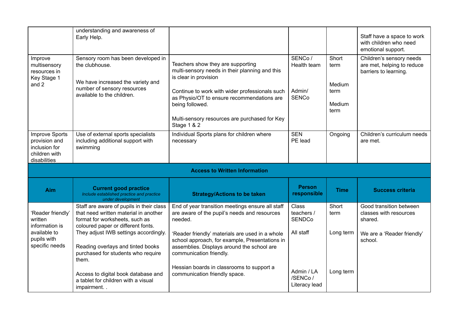|                                                                                                 | understanding and awareness of<br>Early Help.                                                                                                                                                                                           |                                                                                                                                                                                                                                                                                                 |                                                          |                                                   | Staff have a space to work<br>with children who need<br>emotional support.                            |
|-------------------------------------------------------------------------------------------------|-----------------------------------------------------------------------------------------------------------------------------------------------------------------------------------------------------------------------------------------|-------------------------------------------------------------------------------------------------------------------------------------------------------------------------------------------------------------------------------------------------------------------------------------------------|----------------------------------------------------------|---------------------------------------------------|-------------------------------------------------------------------------------------------------------|
| Improve<br>multisensory<br>resources in<br>Key Stage 1<br>and 2                                 | Sensory room has been developed in<br>the clubhouse.<br>We have increased the variety and<br>number of sensory resources<br>available to the children.                                                                                  | Teachers show they are supporting<br>multi-sensory needs in their planning and this<br>is clear in provision<br>Continue to work with wider professionals such<br>as Physio/OT to ensure recommendations are<br>being followed.<br>Multi-sensory resources are purchased for Key<br>Stage 1 & 2 | SENCo/<br>Health team<br>Admin/<br><b>SENCo</b>          | Short<br>term<br>Medium<br>term<br>Medium<br>term | Children's sensory needs<br>are met, helping to reduce<br>barriers to learning.                       |
| <b>Improve Sports</b><br>provision and<br>inclusion for<br>children with<br>disabilities        | Use of external sports specialists<br>including additional support with<br>swimming                                                                                                                                                     | Individual Sports plans for children where<br>necessary                                                                                                                                                                                                                                         | <b>SEN</b><br>PE lead                                    | Ongoing                                           | Children's curriculum needs<br>are met.                                                               |
|                                                                                                 |                                                                                                                                                                                                                                         | <b>Access to Written Information</b>                                                                                                                                                                                                                                                            |                                                          |                                                   |                                                                                                       |
| <b>Aim</b>                                                                                      | <b>Current good practice</b><br>Include established practice and practice<br>under development                                                                                                                                          | <b>Strategy/Actions to be taken</b>                                                                                                                                                                                                                                                             | <b>Person</b><br>responsible                             | <b>Time</b>                                       | <b>Success criteria</b>                                                                               |
| 'Reader friendly'<br>written<br>information is<br>available to<br>pupils with<br>specific needs | Staff are aware of pupils in their class<br>that need written material in another<br>format for worksheets, such as<br>coloured paper or different fonts.<br>They adjust IWB settings accordingly.<br>Reading overlays and tinted books | End of year transition meetings ensure all staff<br>are aware of the pupil's needs and resources<br>needed.<br>'Reader friendly' materials are used in a whole<br>school approach, for example, Presentations in<br>assemblies. Displays around the school are                                  | <b>Class</b><br>teachers /<br><b>SENDCo</b><br>All staff | Short<br>term<br>Long term                        | Good transition between<br>classes with resources<br>shared.<br>We are a 'Reader friendly'<br>school. |
|                                                                                                 | purchased for students who require<br>them.                                                                                                                                                                                             | communication friendly.                                                                                                                                                                                                                                                                         |                                                          |                                                   |                                                                                                       |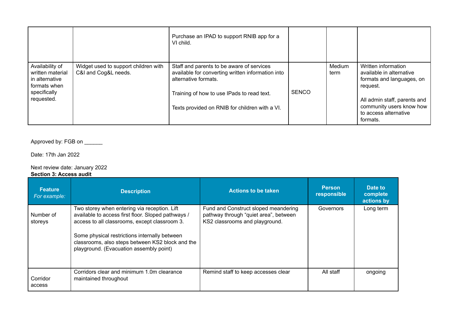|                                                                                                     |                                                              | Purchase an IPAD to support RNIB app for a<br>VI child.                                                                                                                                                                |              |                |                                                                                                                                                                                           |
|-----------------------------------------------------------------------------------------------------|--------------------------------------------------------------|------------------------------------------------------------------------------------------------------------------------------------------------------------------------------------------------------------------------|--------------|----------------|-------------------------------------------------------------------------------------------------------------------------------------------------------------------------------------------|
| Availability of<br>written material<br>in alternative<br>formats when<br>specifically<br>requested. | Widget used to support children with<br>C&I and Cog&L needs. | Staff and parents to be aware of services<br>available for converting written information into<br>alternative formats.<br>Training of how to use IPads to read text.<br>Texts provided on RNIB for children with a VI. | <b>SENCO</b> | Medium<br>term | Written information<br>available in alternative<br>formats and languages, on<br>request.<br>All admin staff, parents and<br>community users know how<br>to access alternative<br>formats. |

Approved by: FGB on \_\_\_\_\_\_

Date: 17th Jan 2022

Next review date: January 2022

**Section 3: Access audit**

| <b>Feature</b><br>For example: | <b>Description</b>                                                                                                                                                                                                                                                                                  | <b>Actions to be taken</b>                                                                                      | <b>Person</b><br>responsible | Date to<br>complete<br>actions by |
|--------------------------------|-----------------------------------------------------------------------------------------------------------------------------------------------------------------------------------------------------------------------------------------------------------------------------------------------------|-----------------------------------------------------------------------------------------------------------------|------------------------------|-----------------------------------|
| Number of<br>storeys           | Two storey when entering via reception. Lift<br>available to access first floor. Sloped pathways /<br>access to all classrooms, except classroom 3.<br>Some physical restrictions internally between<br>classrooms, also steps between KS2 block and the<br>playground. (Evacuation assembly point) | Fund and Construct sloped meandering<br>pathway through "quiet area", between<br>KS2 classrooms and playground. | Governors                    | Long term                         |
| Corridor<br>access             | Corridors clear and minimum 1.0m clearance<br>maintained throughout                                                                                                                                                                                                                                 | Remind staff to keep accesses clear                                                                             | All staff                    | ongoing                           |